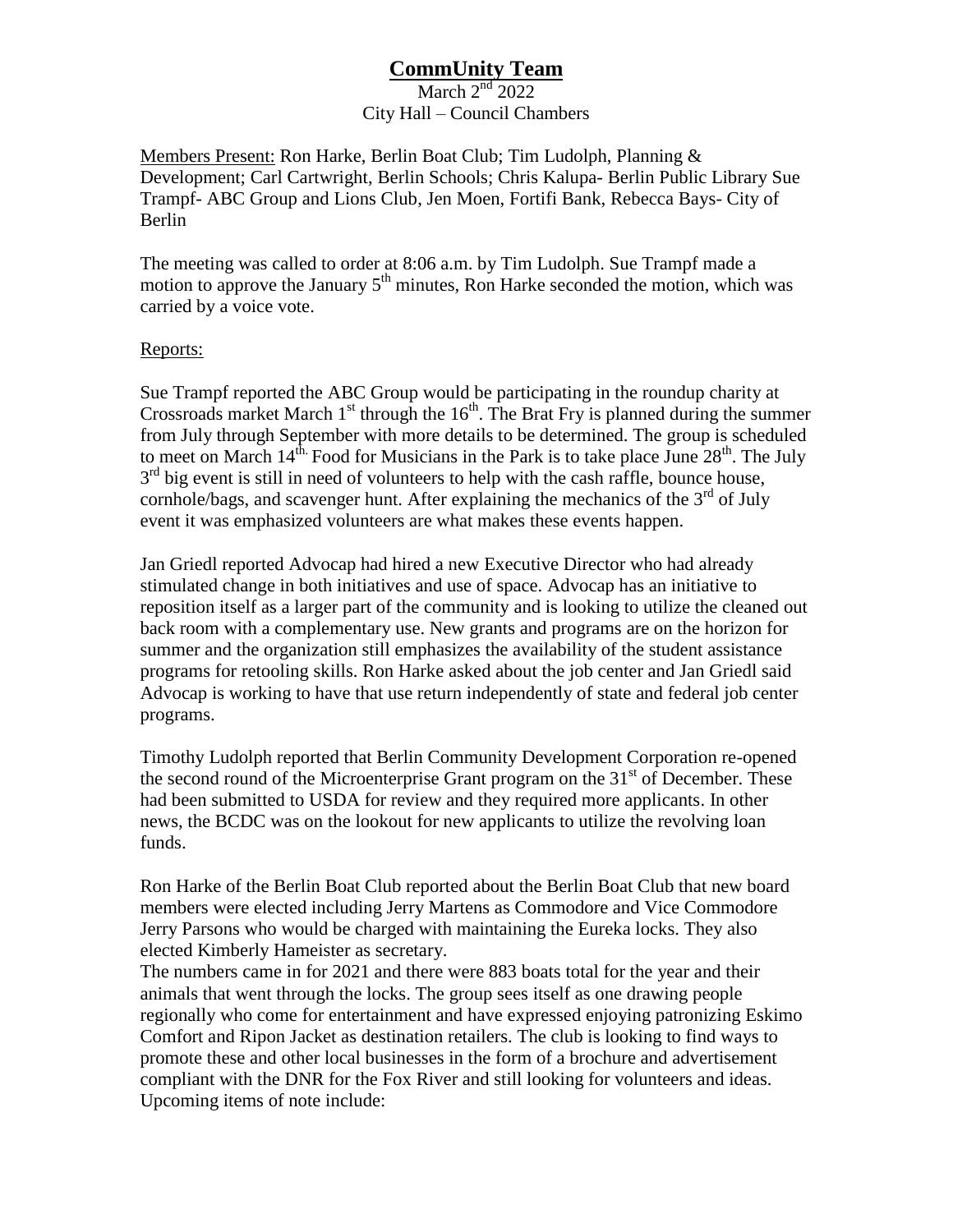## **CommUnity Team**

March  $2<sup>nd</sup>$  2022 City Hall – Council Chambers

Members Present: Ron Harke, Berlin Boat Club; Tim Ludolph, Planning & Development; Carl Cartwright, Berlin Schools; Chris Kalupa- Berlin Public Library Sue Trampf- ABC Group and Lions Club, Jen Moen, Fortifi Bank, Rebecca Bays- City of Berlin

The meeting was called to order at 8:06 a.m. by Tim Ludolph. Sue Trampf made a motion to approve the January  $5<sup>th</sup>$  minutes, Ron Harke seconded the motion, which was carried by a voice vote.

## Reports:

Sue Trampf reported the ABC Group would be participating in the roundup charity at Crossroads market March  $1<sup>st</sup>$  through the  $16<sup>th</sup>$ . The Brat Fry is planned during the summer from July through September with more details to be determined. The group is scheduled to meet on March  $14<sup>th</sup>$ . Food for Musicians in the Park is to take place June  $28<sup>th</sup>$ . The July  $3<sup>rd</sup>$  big event is still in need of volunteers to help with the cash raffle, bounce house, cornhole/bags, and scavenger hunt. After explaining the mechanics of the  $3<sup>rd</sup>$  of July event it was emphasized volunteers are what makes these events happen.

Jan Griedl reported Advocap had hired a new Executive Director who had already stimulated change in both initiatives and use of space. Advocap has an initiative to reposition itself as a larger part of the community and is looking to utilize the cleaned out back room with a complementary use. New grants and programs are on the horizon for summer and the organization still emphasizes the availability of the student assistance programs for retooling skills. Ron Harke asked about the job center and Jan Griedl said Advocap is working to have that use return independently of state and federal job center programs.

Timothy Ludolph reported that Berlin Community Development Corporation re-opened the second round of the Microenterprise Grant program on the  $31<sup>st</sup>$  of December. These had been submitted to USDA for review and they required more applicants. In other news, the BCDC was on the lookout for new applicants to utilize the revolving loan funds.

Ron Harke of the Berlin Boat Club reported about the Berlin Boat Club that new board members were elected including Jerry Martens as Commodore and Vice Commodore Jerry Parsons who would be charged with maintaining the Eureka locks. They also elected Kimberly Hameister as secretary.

The numbers came in for 2021 and there were 883 boats total for the year and their animals that went through the locks. The group sees itself as one drawing people regionally who come for entertainment and have expressed enjoying patronizing Eskimo Comfort and Ripon Jacket as destination retailers. The club is looking to find ways to promote these and other local businesses in the form of a brochure and advertisement compliant with the DNR for the Fox River and still looking for volunteers and ideas. Upcoming items of note include: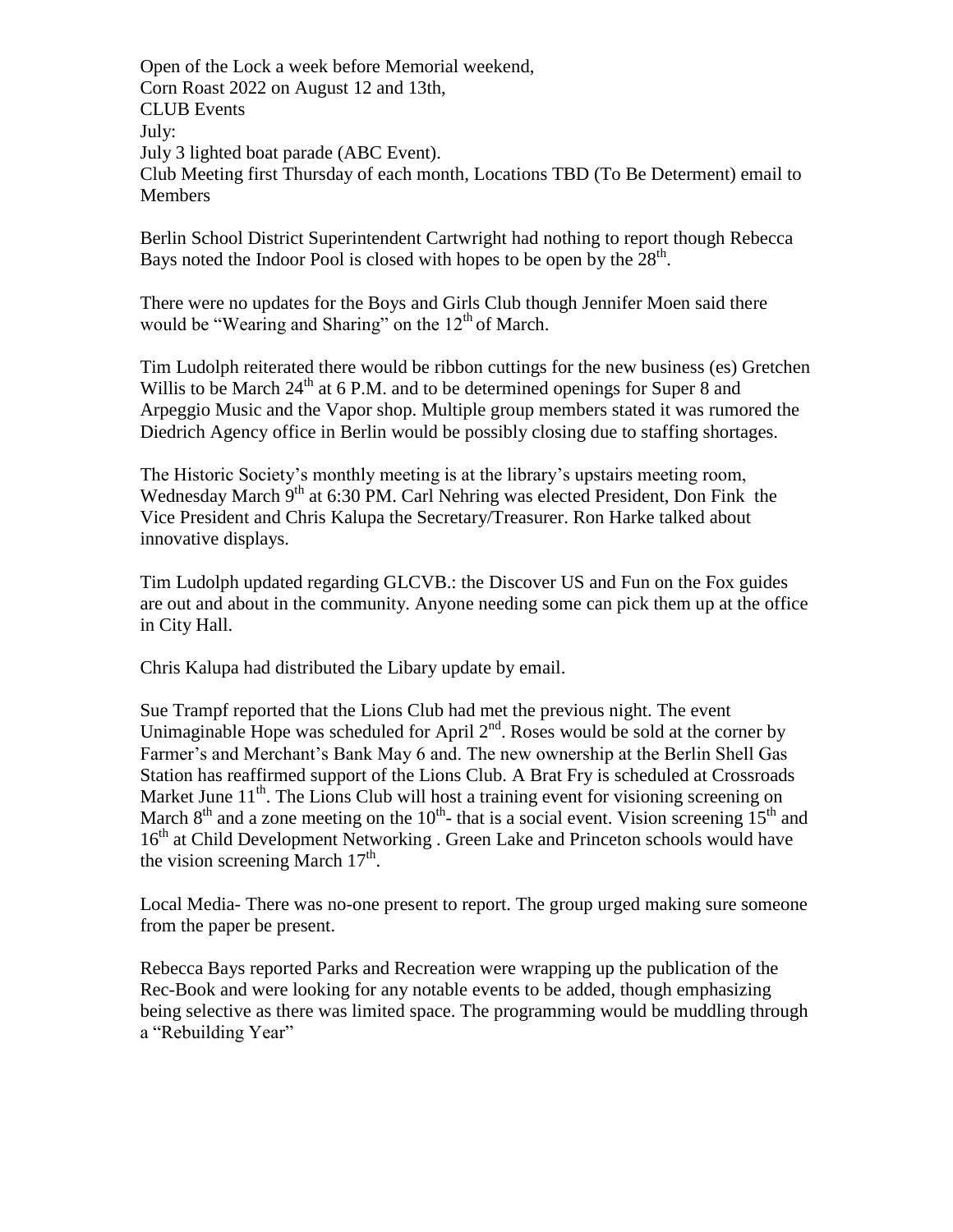Open of the Lock a week before Memorial weekend, Corn Roast 2022 on August 12 and 13th, CLUB Events July: July 3 lighted boat parade (ABC Event). Club Meeting first Thursday of each month, Locations TBD (To Be Determent) email to Members

Berlin School District Superintendent Cartwright had nothing to report though Rebecca Bays noted the Indoor Pool is closed with hopes to be open by the  $28<sup>th</sup>$ .

There were no updates for the Boys and Girls Club though Jennifer Moen said there would be "Wearing and Sharing" on the  $12<sup>th</sup>$  of March.

Tim Ludolph reiterated there would be ribbon cuttings for the new business (es) Gretchen Willis to be March  $24<sup>th</sup>$  at 6 P.M. and to be determined openings for Super 8 and Arpeggio Music and the Vapor shop. Multiple group members stated it was rumored the Diedrich Agency office in Berlin would be possibly closing due to staffing shortages.

The Historic Society's monthly meeting is at the library's upstairs meeting room, Wednesday March  $9<sup>th</sup>$  at 6:30 PM. Carl Nehring was elected President, Don Fink the Vice President and Chris Kalupa the Secretary/Treasurer. Ron Harke talked about innovative displays.

Tim Ludolph updated regarding GLCVB.: the Discover US and Fun on the Fox guides are out and about in the community. Anyone needing some can pick them up at the office in City Hall.

Chris Kalupa had distributed the Libary update by email.

Sue Trampf reported that the Lions Club had met the previous night. The event Unimaginable Hope was scheduled for April  $2<sup>nd</sup>$ . Roses would be sold at the corner by Farmer's and Merchant's Bank May 6 and. The new ownership at the Berlin Shell Gas Station has reaffirmed support of the Lions Club. A Brat Fry is scheduled at Crossroads Market June  $11<sup>th</sup>$ . The Lions Club will host a training event for visioning screening on March  $8<sup>th</sup>$  and a zone meeting on the  $10<sup>th</sup>$ -that is a social event. Vision screening  $15<sup>th</sup>$  and 16<sup>th</sup> at Child Development Networking . Green Lake and Princeton schools would have the vision screening March  $17<sup>th</sup>$ .

Local Media- There was no-one present to report. The group urged making sure someone from the paper be present.

Rebecca Bays reported Parks and Recreation were wrapping up the publication of the Rec-Book and were looking for any notable events to be added, though emphasizing being selective as there was limited space. The programming would be muddling through a "Rebuilding Year"